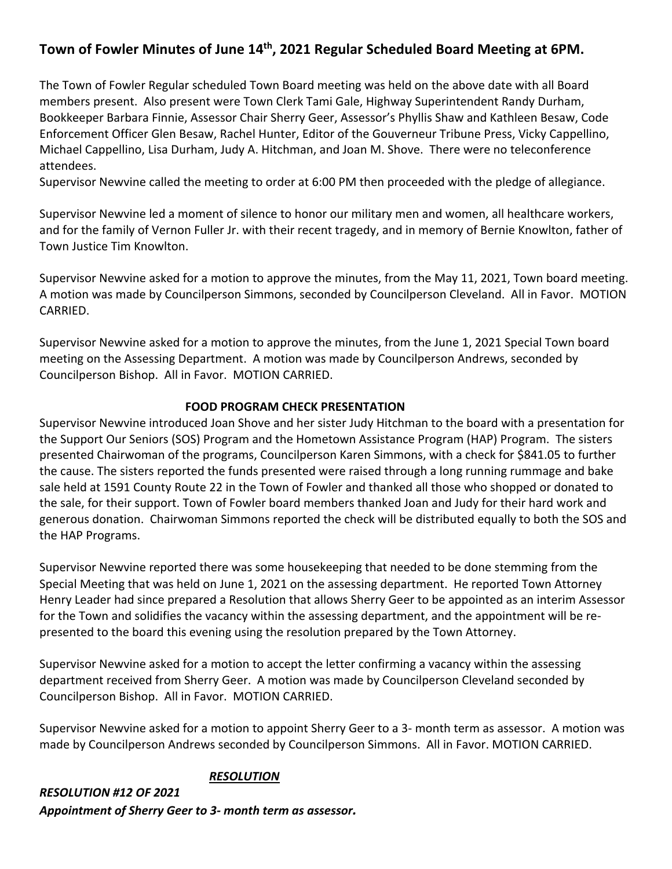# **Town of Fowler Minutes of June 14th, 2021 Regular Scheduled Board Meeting at 6PM.**

The Town of Fowler Regular scheduled Town Board meeting was held on the above date with all Board members present. Also present were Town Clerk Tami Gale, Highway Superintendent Randy Durham, Bookkeeper Barbara Finnie, Assessor Chair Sherry Geer, Assessor's Phyllis Shaw and Kathleen Besaw, Code Enforcement Officer Glen Besaw, Rachel Hunter, Editor of the Gouverneur Tribune Press, Vicky Cappellino, Michael Cappellino, Lisa Durham, Judy A. Hitchman, and Joan M. Shove. There were no teleconference attendees.

Supervisor Newvine called the meeting to order at 6:00 PM then proceeded with the pledge of allegiance.

Supervisor Newvine led a moment of silence to honor our military men and women, all healthcare workers, and for the family of Vernon Fuller Jr. with their recent tragedy, and in memory of Bernie Knowlton, father of Town Justice Tim Knowlton.

Supervisor Newvine asked for a motion to approve the minutes, from the May 11, 2021, Town board meeting. A motion was made by Councilperson Simmons, seconded by Councilperson Cleveland. All in Favor. MOTION CARRIED.

Supervisor Newvine asked for a motion to approve the minutes, from the June 1, 2021 Special Town board meeting on the Assessing Department. A motion was made by Councilperson Andrews, seconded by Councilperson Bishop. All in Favor. MOTION CARRIED.

#### **FOOD PROGRAM CHECK PRESENTATION**

Supervisor Newvine introduced Joan Shove and her sister Judy Hitchman to the board with a presentation for the Support Our Seniors (SOS) Program and the Hometown Assistance Program (HAP) Program. The sisters presented Chairwoman of the programs, Councilperson Karen Simmons, with a check for \$841.05 to further the cause. The sisters reported the funds presented were raised through a long running rummage and bake sale held at 1591 County Route 22 in the Town of Fowler and thanked all those who shopped or donated to the sale, for their support. Town of Fowler board members thanked Joan and Judy for their hard work and generous donation. Chairwoman Simmons reported the check will be distributed equally to both the SOS and the HAP Programs.

Supervisor Newvine reported there was some housekeeping that needed to be done stemming from the Special Meeting that was held on June 1, 2021 on the assessing department. He reported Town Attorney Henry Leader had since prepared a Resolution that allows Sherry Geer to be appointed as an interim Assessor for the Town and solidifies the vacancy within the assessing department, and the appointment will be represented to the board this evening using the resolution prepared by the Town Attorney.

Supervisor Newvine asked for a motion to accept the letter confirming a vacancy within the assessing department received from Sherry Geer. A motion was made by Councilperson Cleveland seconded by Councilperson Bishop. All in Favor. MOTION CARRIED.

Supervisor Newvine asked for a motion to appoint Sherry Geer to a 3- month term as assessor. A motion was made by Councilperson Andrews seconded by Councilperson Simmons. All in Favor. MOTION CARRIED.

#### *RESOLUTION*

*RESOLUTION #12 OF 2021 Appointment of Sherry Geer to 3- month term as assessor.*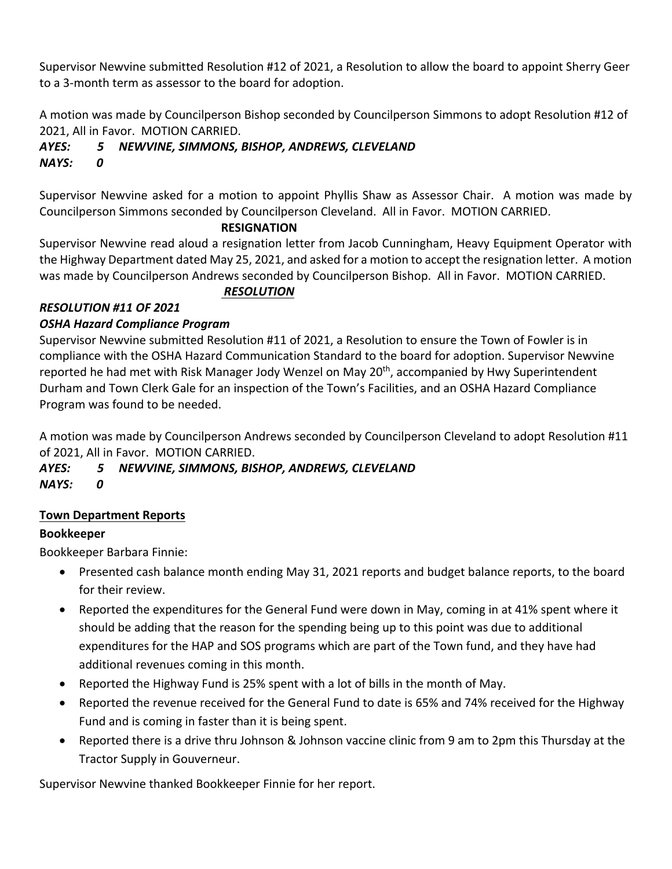Supervisor Newvine submitted Resolution #12 of 2021, a Resolution to allow the board to appoint Sherry Geer to a 3-month term as assessor to the board for adoption.

A motion was made by Councilperson Bishop seconded by Councilperson Simmons to adopt Resolution #12 of 2021, All in Favor. MOTION CARRIED.

#### *AYES: 5 NEWVINE, SIMMONS, BISHOP, ANDREWS, CLEVELAND NAYS: 0*

Supervisor Newvine asked for a motion to appoint Phyllis Shaw as Assessor Chair. A motion was made by Councilperson Simmons seconded by Councilperson Cleveland. All in Favor. MOTION CARRIED.

#### **RESIGNATION**

Supervisor Newvine read aloud a resignation letter from Jacob Cunningham, Heavy Equipment Operator with the Highway Department dated May 25, 2021, and asked for a motion to accept the resignation letter. A motion was made by Councilperson Andrews seconded by Councilperson Bishop. All in Favor. MOTION CARRIED.

## *RESOLUTION*

# *RESOLUTION #11 OF 2021*

## *OSHA Hazard Compliance Program*

Supervisor Newvine submitted Resolution #11 of 2021, a Resolution to ensure the Town of Fowler is in compliance with the OSHA Hazard Communication Standard to the board for adoption. Supervisor Newvine reported he had met with Risk Manager Jody Wenzel on May 20<sup>th</sup>, accompanied by Hwy Superintendent Durham and Town Clerk Gale for an inspection of the Town's Facilities, and an OSHA Hazard Compliance Program was found to be needed.

A motion was made by Councilperson Andrews seconded by Councilperson Cleveland to adopt Resolution #11 of 2021, All in Favor. MOTION CARRIED.

# *AYES: 5 NEWVINE, SIMMONS, BISHOP, ANDREWS, CLEVELAND*

*NAYS: 0*

## **Town Department Reports**

## **Bookkeeper**

Bookkeeper Barbara Finnie:

- Presented cash balance month ending May 31, 2021 reports and budget balance reports, to the board for their review.
- Reported the expenditures for the General Fund were down in May, coming in at 41% spent where it should be adding that the reason for the spending being up to this point was due to additional expenditures for the HAP and SOS programs which are part of the Town fund, and they have had additional revenues coming in this month.
- Reported the Highway Fund is 25% spent with a lot of bills in the month of May.
- Reported the revenue received for the General Fund to date is 65% and 74% received for the Highway Fund and is coming in faster than it is being spent.
- Reported there is a drive thru Johnson & Johnson vaccine clinic from 9 am to 2pm this Thursday at the Tractor Supply in Gouverneur.

Supervisor Newvine thanked Bookkeeper Finnie for her report.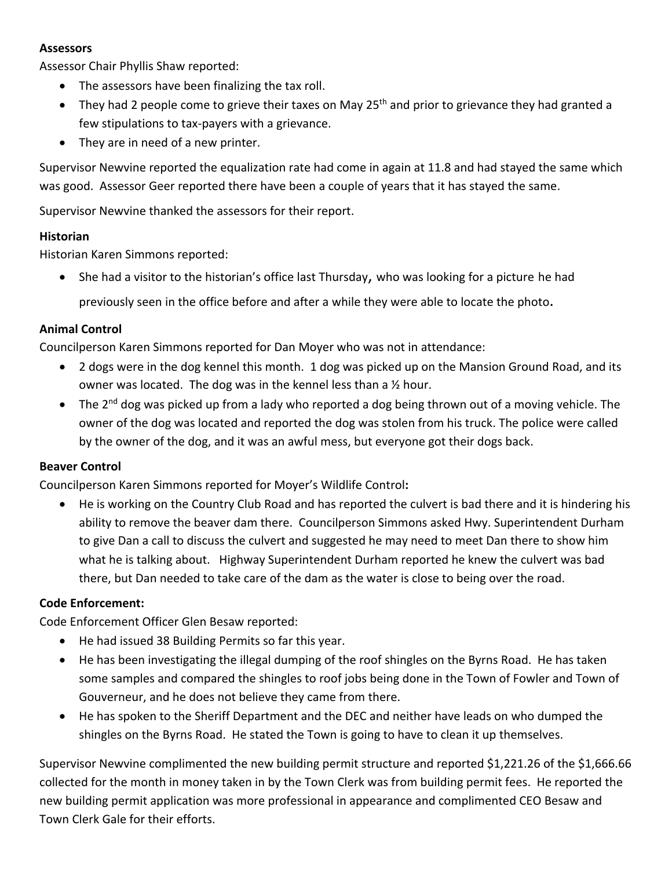#### **Assessors**

Assessor Chair Phyllis Shaw reported:

- The assessors have been finalizing the tax roll.
- They had 2 people come to grieve their taxes on May  $25<sup>th</sup>$  and prior to grievance they had granted a few stipulations to tax-payers with a grievance.
- They are in need of a new printer.

Supervisor Newvine reported the equalization rate had come in again at 11.8 and had stayed the same which was good. Assessor Geer reported there have been a couple of years that it has stayed the same.

Supervisor Newvine thanked the assessors for their report.

#### **Historian**

Historian Karen Simmons reported:

• She had a visitor to the historian's office last Thursday, who was looking for a picture he had previously seen in the office before and after a while they were able to locate the photo.

#### **Animal Control**

Councilperson Karen Simmons reported for Dan Moyer who was not in attendance:

- 2 dogs were in the dog kennel this month. 1 dog was picked up on the Mansion Ground Road, and its owner was located. The dog was in the kennel less than a ½ hour.
- The 2<sup>nd</sup> dog was picked up from a lady who reported a dog being thrown out of a moving vehicle. The owner of the dog was located and reported the dog was stolen from his truck. The police were called by the owner of the dog, and it was an awful mess, but everyone got their dogs back.

#### **Beaver Control**

Councilperson Karen Simmons reported for Moyer's Wildlife Control**:**

• He is working on the Country Club Road and has reported the culvert is bad there and it is hindering his ability to remove the beaver dam there. Councilperson Simmons asked Hwy. Superintendent Durham to give Dan a call to discuss the culvert and suggested he may need to meet Dan there to show him what he is talking about. Highway Superintendent Durham reported he knew the culvert was bad there, but Dan needed to take care of the dam as the water is close to being over the road.

#### **Code Enforcement:**

Code Enforcement Officer Glen Besaw reported:

- He had issued 38 Building Permits so far this year.
- He has been investigating the illegal dumping of the roof shingles on the Byrns Road. He has taken some samples and compared the shingles to roof jobs being done in the Town of Fowler and Town of Gouverneur, and he does not believe they came from there.
- He has spoken to the Sheriff Department and the DEC and neither have leads on who dumped the shingles on the Byrns Road. He stated the Town is going to have to clean it up themselves.

Supervisor Newvine complimented the new building permit structure and reported \$1,221.26 of the \$1,666.66 collected for the month in money taken in by the Town Clerk was from building permit fees. He reported the new building permit application was more professional in appearance and complimented CEO Besaw and Town Clerk Gale for their efforts.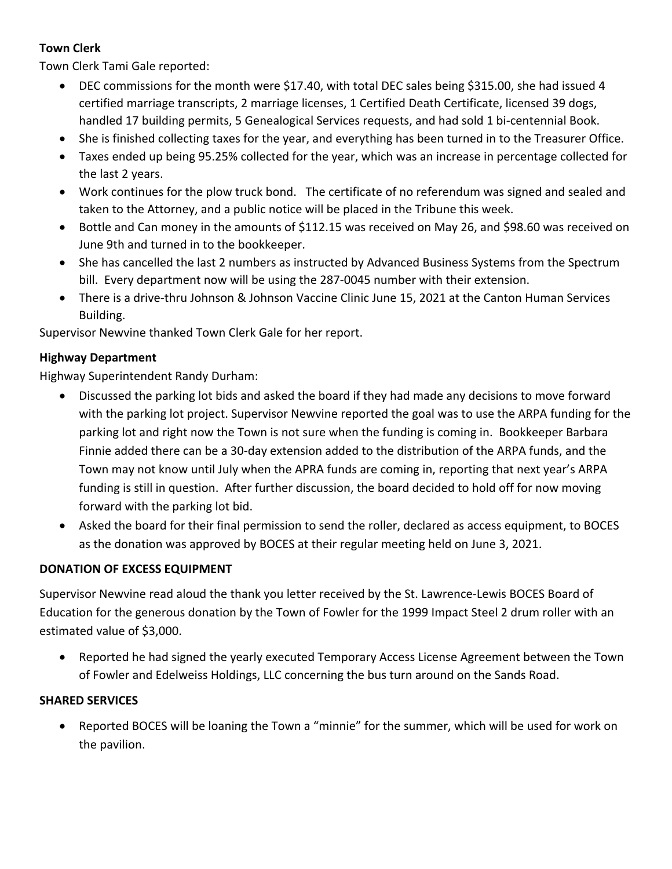## **Town Clerk**

Town Clerk Tami Gale reported:

- DEC commissions for the month were \$17.40, with total DEC sales being \$315.00, she had issued 4 certified marriage transcripts, 2 marriage licenses, 1 Certified Death Certificate, licensed 39 dogs, handled 17 building permits, 5 Genealogical Services requests, and had sold 1 bi-centennial Book.
- She is finished collecting taxes for the year, and everything has been turned in to the Treasurer Office.
- Taxes ended up being 95.25% collected for the year, which was an increase in percentage collected for the last 2 years.
- Work continues for the plow truck bond. The certificate of no referendum was signed and sealed and taken to the Attorney, and a public notice will be placed in the Tribune this week.
- Bottle and Can money in the amounts of \$112.15 was received on May 26, and \$98.60 was received on June 9th and turned in to the bookkeeper.
- She has cancelled the last 2 numbers as instructed by Advanced Business Systems from the Spectrum bill. Every department now will be using the 287-0045 number with their extension.
- There is a drive-thru Johnson & Johnson Vaccine Clinic June 15, 2021 at the Canton Human Services Building.

Supervisor Newvine thanked Town Clerk Gale for her report.

#### **Highway Department**

Highway Superintendent Randy Durham:

- Discussed the parking lot bids and asked the board if they had made any decisions to move forward with the parking lot project. Supervisor Newvine reported the goal was to use the ARPA funding for the parking lot and right now the Town is not sure when the funding is coming in. Bookkeeper Barbara Finnie added there can be a 30-day extension added to the distribution of the ARPA funds, and the Town may not know until July when the APRA funds are coming in, reporting that next year's ARPA funding is still in question. After further discussion, the board decided to hold off for now moving forward with the parking lot bid.
- Asked the board for their final permission to send the roller, declared as access equipment, to BOCES as the donation was approved by BOCES at their regular meeting held on June 3, 2021.

#### **DONATION OF EXCESS EQUIPMENT**

Supervisor Newvine read aloud the thank you letter received by the St. Lawrence-Lewis BOCES Board of Education for the generous donation by the Town of Fowler for the 1999 Impact Steel 2 drum roller with an estimated value of \$3,000.

• Reported he had signed the yearly executed Temporary Access License Agreement between the Town of Fowler and Edelweiss Holdings, LLC concerning the bus turn around on the Sands Road.

#### **SHARED SERVICES**

• Reported BOCES will be loaning the Town a "minnie" for the summer, which will be used for work on the pavilion.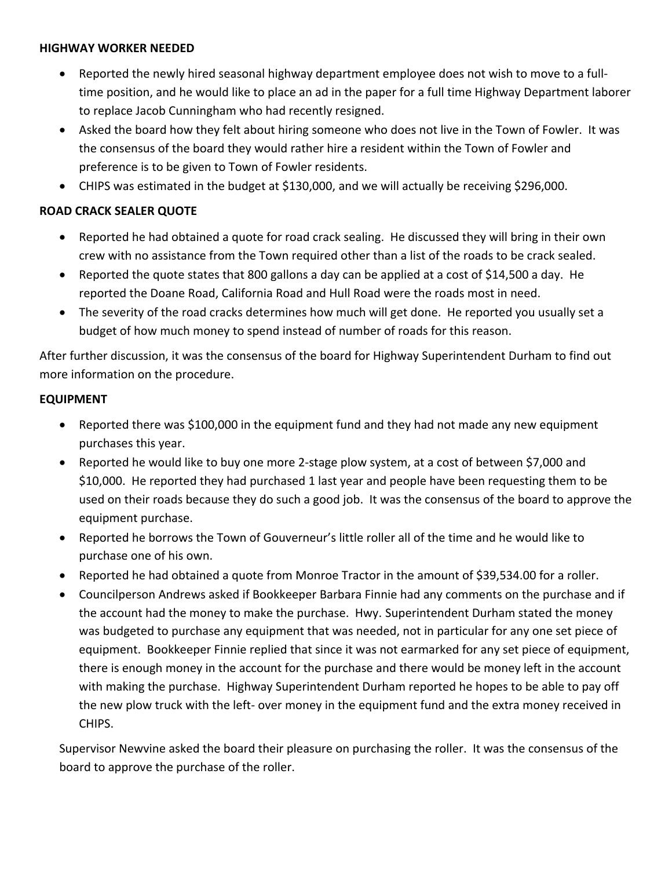#### **HIGHWAY WORKER NEEDED**

- Reported the newly hired seasonal highway department employee does not wish to move to a fulltime position, and he would like to place an ad in the paper for a full time Highway Department laborer to replace Jacob Cunningham who had recently resigned.
- Asked the board how they felt about hiring someone who does not live in the Town of Fowler. It was the consensus of the board they would rather hire a resident within the Town of Fowler and preference is to be given to Town of Fowler residents.
- CHIPS was estimated in the budget at \$130,000, and we will actually be receiving \$296,000.

### **ROAD CRACK SEALER QUOTE**

- Reported he had obtained a quote for road crack sealing. He discussed they will bring in their own crew with no assistance from the Town required other than a list of the roads to be crack sealed.
- Reported the quote states that 800 gallons a day can be applied at a cost of \$14,500 a day. He reported the Doane Road, California Road and Hull Road were the roads most in need.
- The severity of the road cracks determines how much will get done. He reported you usually set a budget of how much money to spend instead of number of roads for this reason.

After further discussion, it was the consensus of the board for Highway Superintendent Durham to find out more information on the procedure.

## **EQUIPMENT**

- Reported there was \$100,000 in the equipment fund and they had not made any new equipment purchases this year.
- Reported he would like to buy one more 2-stage plow system, at a cost of between \$7,000 and \$10,000. He reported they had purchased 1 last year and people have been requesting them to be used on their roads because they do such a good job. It was the consensus of the board to approve the equipment purchase.
- Reported he borrows the Town of Gouverneur's little roller all of the time and he would like to purchase one of his own.
- Reported he had obtained a quote from Monroe Tractor in the amount of \$39,534.00 for a roller.
- Councilperson Andrews asked if Bookkeeper Barbara Finnie had any comments on the purchase and if the account had the money to make the purchase. Hwy. Superintendent Durham stated the money was budgeted to purchase any equipment that was needed, not in particular for any one set piece of equipment. Bookkeeper Finnie replied that since it was not earmarked for any set piece of equipment, there is enough money in the account for the purchase and there would be money left in the account with making the purchase. Highway Superintendent Durham reported he hopes to be able to pay off the new plow truck with the left- over money in the equipment fund and the extra money received in CHIPS.

Supervisor Newvine asked the board their pleasure on purchasing the roller. It was the consensus of the board to approve the purchase of the roller.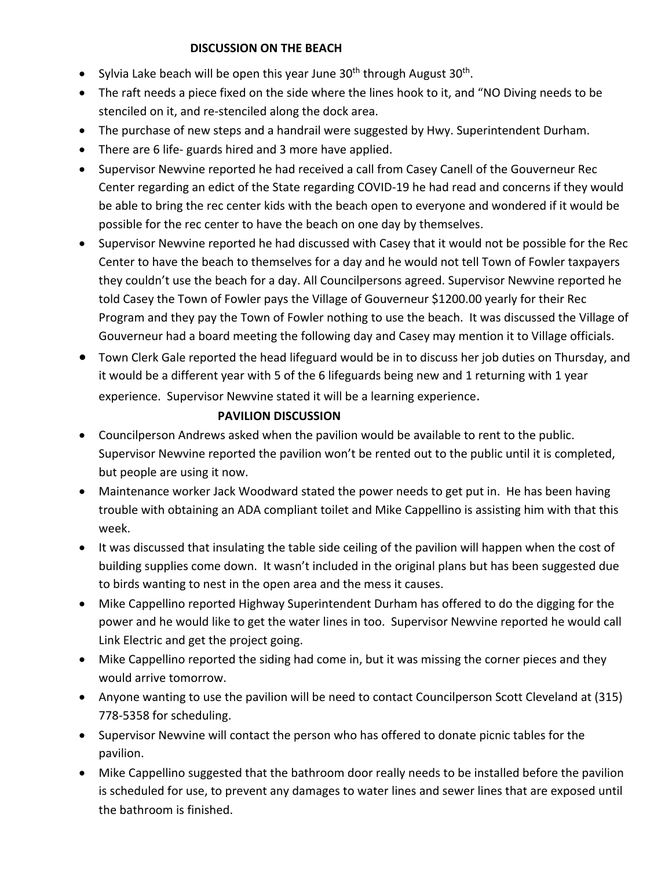### **DISCUSSION ON THE BEACH**

- Sylvia Lake beach will be open this year June  $30<sup>th</sup>$  through August  $30<sup>th</sup>$ .
- The raft needs a piece fixed on the side where the lines hook to it, and "NO Diving needs to be stenciled on it, and re-stenciled along the dock area.
- The purchase of new steps and a handrail were suggested by Hwy. Superintendent Durham.
- There are 6 life- guards hired and 3 more have applied.
- Supervisor Newvine reported he had received a call from Casey Canell of the Gouverneur Rec Center regarding an edict of the State regarding COVID-19 he had read and concerns if they would be able to bring the rec center kids with the beach open to everyone and wondered if it would be possible for the rec center to have the beach on one day by themselves.
- Supervisor Newvine reported he had discussed with Casey that it would not be possible for the Rec Center to have the beach to themselves for a day and he would not tell Town of Fowler taxpayers they couldn't use the beach for a day. All Councilpersons agreed. Supervisor Newvine reported he told Casey the Town of Fowler pays the Village of Gouverneur \$1200.00 yearly for their Rec Program and they pay the Town of Fowler nothing to use the beach. It was discussed the Village of Gouverneur had a board meeting the following day and Casey may mention it to Village officials.
- Town Clerk Gale reported the head lifeguard would be in to discuss her job duties on Thursday, and it would be a different year with 5 of the 6 lifeguards being new and 1 returning with 1 year experience. Supervisor Newvine stated it will be a learning experience.

## **PAVILION DISCUSSION**

- Councilperson Andrews asked when the pavilion would be available to rent to the public. Supervisor Newvine reported the pavilion won't be rented out to the public until it is completed, but people are using it now.
- Maintenance worker Jack Woodward stated the power needs to get put in. He has been having trouble with obtaining an ADA compliant toilet and Mike Cappellino is assisting him with that this week.
- It was discussed that insulating the table side ceiling of the pavilion will happen when the cost of building supplies come down. It wasn't included in the original plans but has been suggested due to birds wanting to nest in the open area and the mess it causes.
- Mike Cappellino reported Highway Superintendent Durham has offered to do the digging for the power and he would like to get the water lines in too. Supervisor Newvine reported he would call Link Electric and get the project going.
- Mike Cappellino reported the siding had come in, but it was missing the corner pieces and they would arrive tomorrow.
- Anyone wanting to use the pavilion will be need to contact Councilperson Scott Cleveland at (315) 778-5358 for scheduling.
- Supervisor Newvine will contact the person who has offered to donate picnic tables for the pavilion.
- Mike Cappellino suggested that the bathroom door really needs to be installed before the pavilion is scheduled for use, to prevent any damages to water lines and sewer lines that are exposed until the bathroom is finished.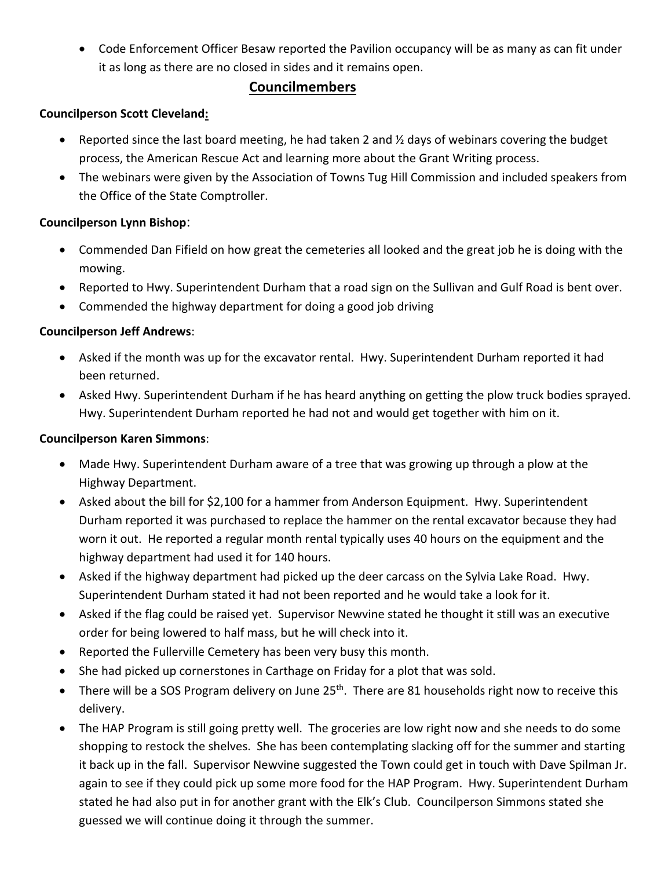• Code Enforcement Officer Besaw reported the Pavilion occupancy will be as many as can fit under it as long as there are no closed in sides and it remains open.

## **Councilmembers**

### **Councilperson Scott Cleveland:**

- Reported since the last board meeting, he had taken 2 and  $\frac{1}{2}$  days of webinars covering the budget process, the American Rescue Act and learning more about the Grant Writing process.
- The webinars were given by the Association of Towns Tug Hill Commission and included speakers from the Office of the State Comptroller.

## **Councilperson Lynn Bishop**:

- Commended Dan Fifield on how great the cemeteries all looked and the great job he is doing with the mowing.
- Reported to Hwy. Superintendent Durham that a road sign on the Sullivan and Gulf Road is bent over.
- Commended the highway department for doing a good job driving

## **Councilperson Jeff Andrews**:

- Asked if the month was up for the excavator rental. Hwy. Superintendent Durham reported it had been returned.
- Asked Hwy. Superintendent Durham if he has heard anything on getting the plow truck bodies sprayed. Hwy. Superintendent Durham reported he had not and would get together with him on it.

### **Councilperson Karen Simmons**:

- Made Hwy. Superintendent Durham aware of a tree that was growing up through a plow at the Highway Department.
- Asked about the bill for \$2,100 for a hammer from Anderson Equipment. Hwy. Superintendent Durham reported it was purchased to replace the hammer on the rental excavator because they had worn it out. He reported a regular month rental typically uses 40 hours on the equipment and the highway department had used it for 140 hours.
- Asked if the highway department had picked up the deer carcass on the Sylvia Lake Road. Hwy. Superintendent Durham stated it had not been reported and he would take a look for it.
- Asked if the flag could be raised yet. Supervisor Newvine stated he thought it still was an executive order for being lowered to half mass, but he will check into it.
- Reported the Fullerville Cemetery has been very busy this month.
- She had picked up cornerstones in Carthage on Friday for a plot that was sold.
- There will be a SOS Program delivery on June 25<sup>th</sup>. There are 81 households right now to receive this delivery.
- The HAP Program is still going pretty well. The groceries are low right now and she needs to do some shopping to restock the shelves. She has been contemplating slacking off for the summer and starting it back up in the fall. Supervisor Newvine suggested the Town could get in touch with Dave Spilman Jr. again to see if they could pick up some more food for the HAP Program. Hwy. Superintendent Durham stated he had also put in for another grant with the Elk's Club. Councilperson Simmons stated she guessed we will continue doing it through the summer.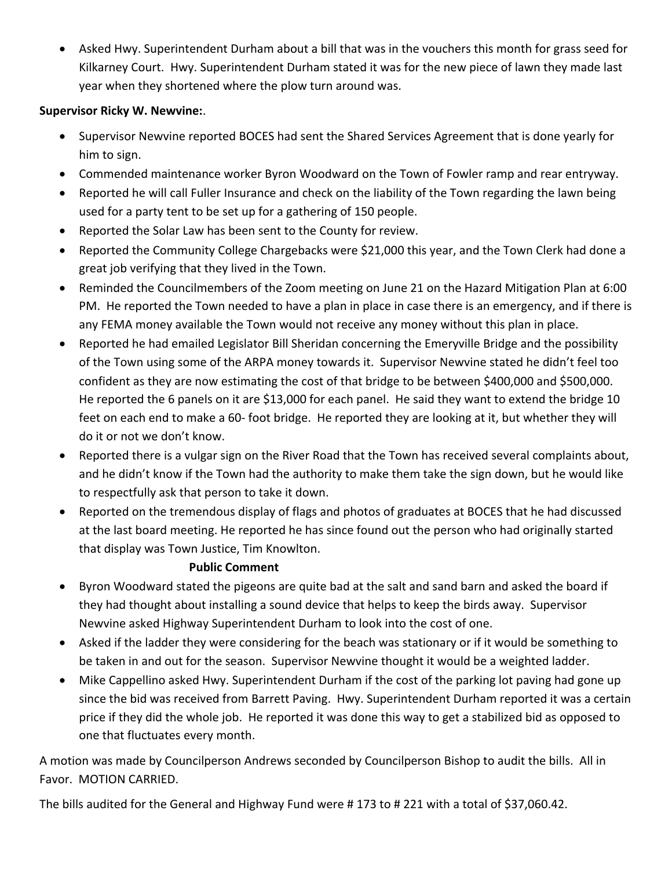• Asked Hwy. Superintendent Durham about a bill that was in the vouchers this month for grass seed for Kilkarney Court. Hwy. Superintendent Durham stated it was for the new piece of lawn they made last year when they shortened where the plow turn around was.

## **Supervisor Ricky W. Newvine:**.

- Supervisor Newvine reported BOCES had sent the Shared Services Agreement that is done yearly for him to sign.
- Commended maintenance worker Byron Woodward on the Town of Fowler ramp and rear entryway.
- Reported he will call Fuller Insurance and check on the liability of the Town regarding the lawn being used for a party tent to be set up for a gathering of 150 people.
- Reported the Solar Law has been sent to the County for review.
- Reported the Community College Chargebacks were \$21,000 this year, and the Town Clerk had done a great job verifying that they lived in the Town.
- Reminded the Councilmembers of the Zoom meeting on June 21 on the Hazard Mitigation Plan at 6:00 PM. He reported the Town needed to have a plan in place in case there is an emergency, and if there is any FEMA money available the Town would not receive any money without this plan in place.
- Reported he had emailed Legislator Bill Sheridan concerning the Emeryville Bridge and the possibility of the Town using some of the ARPA money towards it. Supervisor Newvine stated he didn't feel too confident as they are now estimating the cost of that bridge to be between \$400,000 and \$500,000. He reported the 6 panels on it are \$13,000 for each panel. He said they want to extend the bridge 10 feet on each end to make a 60- foot bridge. He reported they are looking at it, but whether they will do it or not we don't know.
- Reported there is a vulgar sign on the River Road that the Town has received several complaints about, and he didn't know if the Town had the authority to make them take the sign down, but he would like to respectfully ask that person to take it down.
- Reported on the tremendous display of flags and photos of graduates at BOCES that he had discussed at the last board meeting. He reported he has since found out the person who had originally started that display was Town Justice, Tim Knowlton.

#### **Public Comment**

- Byron Woodward stated the pigeons are quite bad at the salt and sand barn and asked the board if they had thought about installing a sound device that helps to keep the birds away. Supervisor Newvine asked Highway Superintendent Durham to look into the cost of one.
- Asked if the ladder they were considering for the beach was stationary or if it would be something to be taken in and out for the season. Supervisor Newvine thought it would be a weighted ladder.
- Mike Cappellino asked Hwy. Superintendent Durham if the cost of the parking lot paving had gone up since the bid was received from Barrett Paving. Hwy. Superintendent Durham reported it was a certain price if they did the whole job. He reported it was done this way to get a stabilized bid as opposed to one that fluctuates every month.

A motion was made by Councilperson Andrews seconded by Councilperson Bishop to audit the bills. All in Favor. MOTION CARRIED.

The bills audited for the General and Highway Fund were # 173 to # 221 with a total of \$37,060.42.